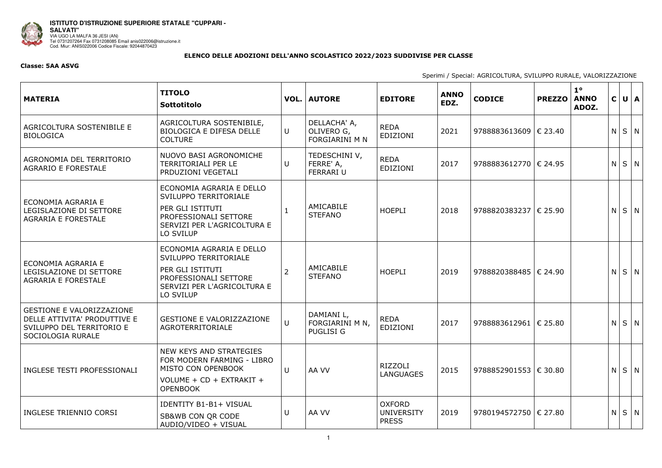

**ISTITUTO D'ISTRUZIONE SUPERIORE STATALE "CUPPARI -<br>SALVATI"** UALVAII<br>VIA UGO LA MALFA 36 JESI (AN)<br>Tel 0731207264 Fax 0731208085 Email anis022006@istruzione.it<br>Cod. Miur: ANIS022006 Codice Fiscale: 92044870423

## ELENCO DELLE ADOZIONI DELL'ANNO SCOLASTICO 2022/2023 SUDDIVISE PER CLASSE

## **Classe: 5AA ASVG**

| <b>MATERIA</b>                                                                                                     | <b>TITOLO</b><br>Sottotitolo                                                                                                               |                | <b>VOL.   AUTORE</b>                                | <b>EDITORE</b>                                     | <b>ANNO</b><br>EDZ. | <b>CODICE</b>                  | <b>PREZZO</b> | $1^{\circ}$<br><b>ANNO</b><br>ADOZ. |   | C U A       |  |
|--------------------------------------------------------------------------------------------------------------------|--------------------------------------------------------------------------------------------------------------------------------------------|----------------|-----------------------------------------------------|----------------------------------------------------|---------------------|--------------------------------|---------------|-------------------------------------|---|-------------|--|
| AGRICOLTURA SOSTENIBILE E<br><b>BIOLOGICA</b>                                                                      | AGRICOLTURA SOSTENIBILE,<br><b>BIOLOGICA E DIFESA DELLE</b><br><b>COLTURE</b>                                                              | U              | DELLACHA' A,<br>OLIVERO G,<br><b>FORGIARINI M N</b> | <b>REDA</b><br>EDIZIONI                            | 2021                | 9788883613609   € 23.40        |               |                                     |   | $N$ $S$ $N$ |  |
| AGRONOMIA DEL TERRITORIO<br><b>AGRARIO E FORESTALE</b>                                                             | NUOVO BASI AGRONOMICHE<br><b>TERRITORIALI PER LE</b><br>PRDUZIONI VEGETALI                                                                 | U              | TEDESCHINI V,<br>FERRE' A,<br><b>FERRARI U</b>      | <b>REDA</b><br>EDIZIONI                            | 2017                | 9788883612770   € 24.95        |               |                                     |   | $N$ $S$ $N$ |  |
| ECONOMIA AGRARIA E<br>LEGISLAZIONE DI SETTORE<br><b>AGRARIA E FORESTALE</b>                                        | ECONOMIA AGRARIA E DELLO<br>SVILUPPO TERRITORIALE<br>PER GLI ISTITUTI<br>PROFESSIONALI SETTORE<br>SERVIZI PER L'AGRICOLTURA E<br>LO SVILUP |                | AMICABILE<br><b>STEFANO</b>                         | <b>HOEPLI</b>                                      | 2018                | 9788820383237 € 25.90          |               |                                     | N | $S \mid N$  |  |
| ECONOMIA AGRARIA E<br>LEGISLAZIONE DI SETTORE<br><b>AGRARIA E FORESTALE</b>                                        | ECONOMIA AGRARIA E DELLO<br>SVILUPPO TERRITORIALE<br>PER GLI ISTITUTI<br>PROFESSIONALI SETTORE<br>SERVIZI PER L'AGRICOLTURA E<br>LO SVILUP | $\overline{2}$ | AMICABILE<br><b>STEFANO</b>                         | <b>HOEPLI</b>                                      | 2019                | 9788820388485   € 24.90        |               |                                     |   | $N$ $S$ $N$ |  |
| <b>GESTIONE E VALORIZZAZIONE</b><br>DELLE ATTIVITA' PRODUTTIVE E<br>SVILUPPO DEL TERRITORIO E<br>SOCIOLOGIA RURALE | <b>GESTIONE E VALORIZZAZIONE</b><br>AGROTERRITORIALE                                                                                       | $\cup$         | DAMIANI L,<br>FORGIARINI M N,<br><b>PUGLISI G</b>   | <b>REDA</b><br><b>EDIZIONI</b>                     | 2017                | 9788883612961   € 25.80        |               |                                     |   | $N$ $S$ $N$ |  |
| INGLESE TESTI PROFESSIONALI                                                                                        | NEW KEYS AND STRATEGIES<br>FOR MODERN FARMING - LIBRO<br>MISTO CON OPENBOOK<br>VOLUME + CD + EXTRAKIT +<br><b>OPENBOOK</b>                 | U              | AA VV                                               | RIZZOLI<br><b>LANGUAGES</b>                        | 2015                | 9788852901553 $\epsilon$ 30.80 |               |                                     |   | $N$ $S$ $N$ |  |
| INGLESE TRIENNIO CORSI                                                                                             | <b>IDENTITY B1-B1+ VISUAL</b><br>SB&WB CON QR CODE<br>AUDIO/VIDEO + VISUAL                                                                 | U              | AA VV                                               | <b>OXFORD</b><br><b>UNIVERSITY</b><br><b>PRESS</b> | 2019                | 9780194572750   € 27.80        |               |                                     |   | $N$ $S$ $N$ |  |

Sperimi / Special: AGRICOLTURA, SVILUPPO RURALE, VALORIZZAZIONE